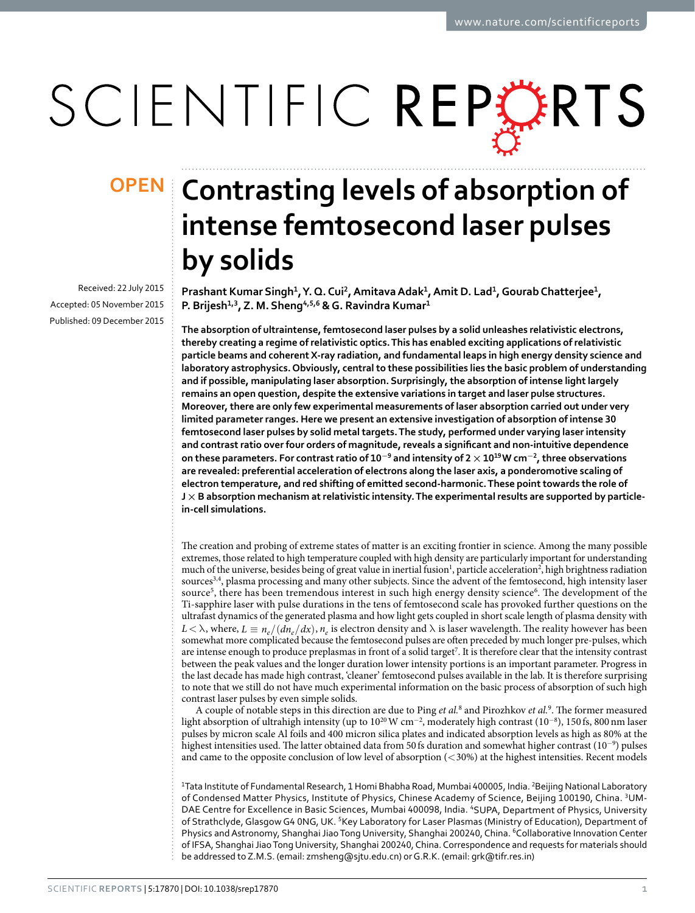# SCIENTIFIC REPERTS

Received: 22 July 2015 accepted: 05 November 2015 Published: 09 December 2015

## **Contrasting levels of absorption of OPENintense femtosecond laser pulses by solids**

**Prashant Kumar Singh<sup>1</sup>, Y.Q. Cui<sup>2</sup>, AmitavaAdak<sup>1</sup>, Amit D. Lad<sup>1</sup>, GourabChatterjee<sup>1</sup>, P. Brijesh<sup>1</sup>,<sup>3</sup>, Z. M. Sheng<sup>4</sup>,5,<sup>6</sup> & G. Ravindra Kumar<sup>1</sup>**

**The absorption of ultraintense, femtosecond laser pulses by a solid unleashes relativistic electrons, thereby creating a regime of relativistic optics. This has enabled exciting applications of relativistic particle beams and coherent X-ray radiation, and fundamental leaps in high energy density science and laboratory astrophysics. Obviously, central to these possibilities lies the basic problem of understanding and if possible, manipulating laser absorption. Surprisingly, the absorption of intense light largely remains an open question, despite the extensive variations in target and laser pulse structures. Moreover, there are only few experimental measurements of laser absorption carried out under very limited parameter ranges. Here we present an extensive investigation of absorption of intense 30 femtosecond laser pulses by solid metal targets. The study, performed under varying laser intensity and contrast ratio over four orders of magnitude, reveals a significant and non-intuitive dependence on these parameters. For contrast ratio of 10<sup>−</sup>9 and intensity of 2×1019W cm<sup>−</sup><sup>2</sup>, three observations are revealed: preferential acceleration of electrons along the laser axis, a ponderomotive scaling of electron temperature, and red shifting of emitted second-harmonic. These point towards the role of J×B absorption mechanism at relativistic intensity. The experimental results are supported by particlein-cell simulations.**

The creation and probing of extreme states of matter is an exciting frontier in science. Among the many possible extremes, those related to high temperature coupled with high density are particularly important for understanding much of the universe, besides being of great value in inertial fusion<sup>[1](#page-5-0)</sup>, particle acceleration<sup>2</sup>, high brightness radiation sources<sup>[3](#page-5-2),4</sup>, plasma processing and many other subjects. Since the advent of the femtosecond, high intensity laser source<sup>5</sup>, there has been tremendous interest in such high energy density science<sup>[6](#page-5-5)</sup>. The development of the Ti-sapphire laser with pulse durations in the tens of femtosecond scale has provoked further questions on the ultrafast dynamics of the generated plasma and how light gets coupled in short scale length of plasma density with  $L < \lambda$ , where,  $L \equiv n_e/(d n_e/d x)$ ,  $n_e$  is electron density and  $\lambda$  is laser wavelength. The reality however has been somewhat more complicated because the femtosecond pulses are often preceded by much longer pre-pulses, which are intense enough to produce preplasmas in front of a solid target<sup>[7](#page-5-6)</sup>. It is therefore clear that the intensity contrast between the peak values and the longer duration lower intensity portions is an important parameter. Progress in the last decade has made high contrast, 'cleaner' femtosecond pulses available in the lab. It is therefore surprising to note that we still do not have much experimental information on the basic process of absorption of such high contrast laser pulses by even simple solids.

A couple of notable steps in this direction are due to Ping *et al.*[8](#page-5-7) and Pirozhkov *et al.*[9](#page-5-8) . The former measured light absorption of ultrahigh intensity (up to  $10^{20}$  W cm<sup>−2</sup>, moderately high contrast ( $10^{-8}$ ), 150 fs, 800 nm laser pulses by micron scale Al foils and 400 micron silica plates and indicated absorption levels as high as 80% at the highest intensities used. The latter obtained data from 50 fs duration and somewhat higher contrast (10<sup>−</sup><sup>9</sup> ) pulses and came to the opposite conclusion of low level of absorption (<30%) at the highest intensities. Recent models

<sup>1</sup>Tata Institute of Fundamental Research, 1 Homi Bhabha Road, Mumbai 400005, India. <sup>2</sup>Beijing National Laboratory of Condensed Matter Physics, Institute of Physics, Chinese Academy of Science, Beijing 100190, China. 3UM-DAE Centre for Excellence in Basic Sciences, Mumbai 400098, India. 4SUPA, Department of Physics, University of Strathclyde, Glasgow G4 0NG, UK. <sup>5</sup>Key Laboratory for Laser Plasmas (Ministry of Education), Department of Physics and Astronomy, Shanghai Jiao Tong University, Shanghai 200240, China. <sup>6</sup>Collaborative Innovation Center of IFSA, Shanghai Jiao Tong University, Shanghai 200240, China. Correspondence and requests for materials should be addressed to Z.M.S. (email: [zmsheng@sjtu.edu.cn\)](mailto:zmsheng@sjtu.edu.cn) or G.R.K. (email: [grk@tifr.res.in\)](mailto:grk@tifr.res.in)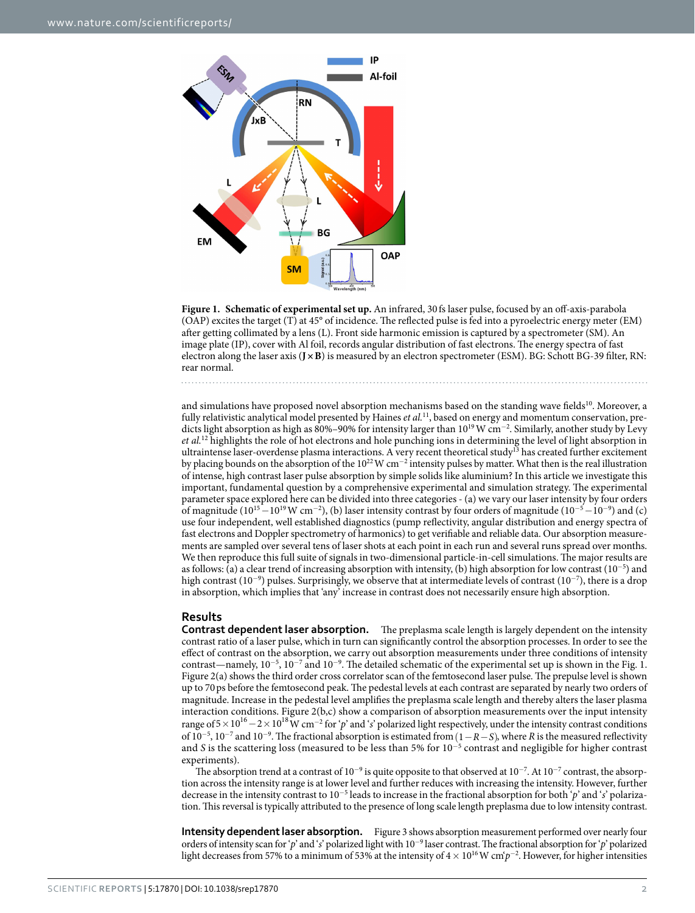

<span id="page-1-0"></span>**Figure 1. Schematic of experimental set up.** An infrared, 30 fs laser pulse, focused by an off-axis-parabola (OAP) excites the target (T) at 45° of incidence. The reflected pulse is fed into a pyroelectric energy meter (EM) after getting collimated by a lens (L). Front side harmonic emission is captured by a spectrometer (SM). An image plate (IP), cover with Al foil, records angular distribution of fast electrons. The energy spectra of fast electron along the laser axis (**J×B**) is measured by an electron spectrometer (ESM). BG: Schott BG-39 filter, RN: rear normal.

and simulations have proposed novel absorption mechanisms based on the standing wave fields<sup>10</sup>. Moreover, a fully relativistic analytical model presented by Haines *et al.*[11,](#page-5-10) based on energy and momentum conservation, predicts light absorption as high as 80%–90% for intensity larger than  $10^{19}$ W cm<sup>-2</sup>. Similarly, another study by Levy *et al.*[12](#page-5-11) highlights the role of hot electrons and hole punching ions in determining the level of light absorption in ultraintense laser-overdense plasma interactions. A very recent theoretical stud[y13](#page-5-12) has created further excitement by placing bounds on the absorption of the  $10^{22}$ W cm<sup>-2</sup> intensity pulses by matter. What then is the real illustration of intense, high contrast laser pulse absorption by simple solids like aluminium? In this article we investigate this important, fundamental question by a comprehensive experimental and simulation strategy. The experimental parameter space explored here can be divided into three categories - (a) we vary our laser intensity by four orders of magnitude ( $10^{15}-10^{19}$  W cm<sup>-2</sup>), (b) laser intensity contrast by four orders of magnitude ( $10^{-5}-10^{-9}$ ) and (c) use four independent, well established diagnostics (pump reflectivity, angular distribution and energy spectra of fast electrons and Doppler spectrometry of harmonics) to get verifiable and reliable data. Our absorption measurements are sampled over several tens of laser shots at each point in each run and several runs spread over months. We then reproduce this full suite of signals in two-dimensional particle-in-cell simulations. The major results are as follows: (a) a clear trend of increasing absorption with intensity, (b) high absorption for low contrast (10<sup>−</sup><sup>5</sup> ) and high contrast (10<sup>−</sup><sup>9</sup> ) pulses. Surprisingly, we observe that at intermediate levels of contrast (10<sup>−</sup><sup>7</sup> ), there is a drop in absorption, which implies that 'any' increase in contrast does not necessarily ensure high absorption.

### **Results**

**Contrast dependent laser absorption.** The preplasma scale length is largely dependent on the intensity contrast ratio of a laser pulse, which in turn can significantly control the absorption processes. In order to see the effect of contrast on the absorption, we carry out absorption measurements under three conditions of intensity contrast—namely, 10<sup>-5</sup>, 10<sup>-7</sup> and 10<sup>-9</sup>. The detailed schematic of the experimental set up is shown in the [Fig. 1.](#page-1-0) [Figure 2\(a\)](#page-2-0) shows the third order cross correlator scan of the femtosecond laser pulse. The prepulse level is shown up to 70ps before the femtosecond peak. The pedestal levels at each contrast are separated by nearly two orders of magnitude. Increase in the pedestal level amplifies the preplasma scale length and thereby alters the laser plasma interaction conditions. Figure  $2(b,c)$  show a comparison of absorption measurements over the input intensity range of  $5\times10^{16} - 2\times10^{18}$  W cm<sup>-2</sup> for 'p' and 's' polarized light respectively, under the intensity contrast conditions of 10<sup>-5</sup>, 10<sup>-7</sup> and 10<sup>-9</sup>. The fractional absorption is estimated from (1–*R*–*S*), where *R* is the measured reflectivity and *S* is the scattering loss (measured to be less than 5% for 10<sup>-5</sup> contrast and negligible for higher contrast experiments).

The absorption trend at a contrast of 10<sup>-9</sup> is quite opposite to that observed at 10<sup>-7</sup>. At 10<sup>-7</sup> contrast, the absorption across the intensity range is at lower level and further reduces with increasing the intensity. However, further decrease in the intensity contrast to 10<sup>−</sup><sup>5</sup> leads to increase in the fractional absorption for both '*p*' and '*s*' polarization. This reversal is typically attributed to the presence of long scale length preplasma due to low intensity contrast.

**Intensity dependent laser absorption.** [Figure 3](#page-2-1) shows absorption measurement performed over nearly four orders of intensity scan for '*p*' and '*s*' polarized light with 10<sup>−</sup><sup>9</sup> laser contrast. The fractional absorption for '*p*' polarized light decreases from 57% to a minimum of 53% at the intensity of 4× 1016W cm'*p*<sup>−</sup><sup>2</sup> . However, for higher intensities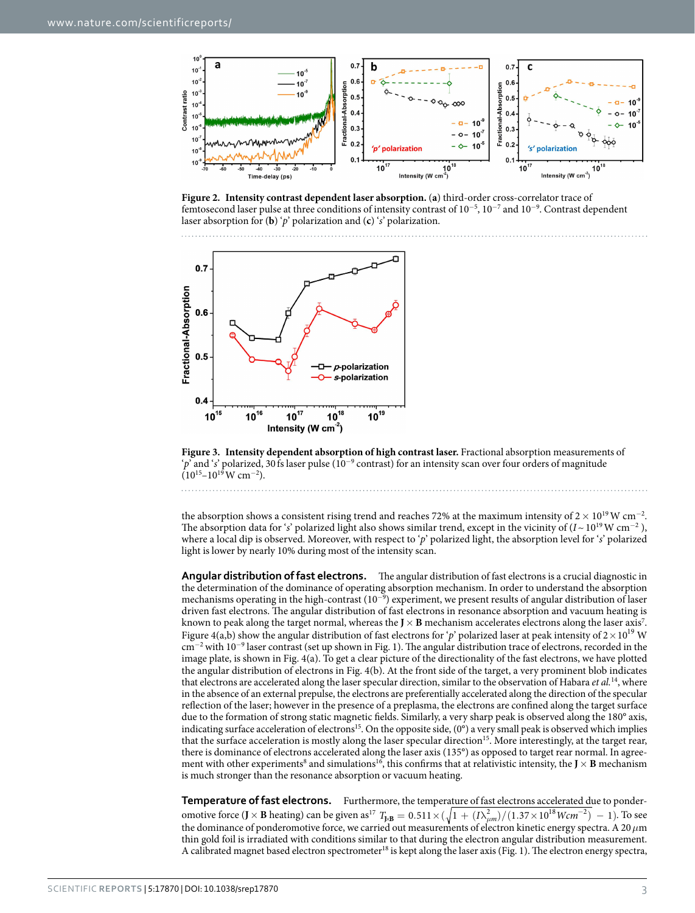

<span id="page-2-0"></span>**Figure 2. Intensity contrast dependent laser absorption.** (**a**) third-order cross-correlator trace of femtosecond laser pulse at three conditions of intensity contrast of 10<sup>−</sup><sup>5</sup> , 10<sup>−</sup><sup>7</sup> and 10<sup>−</sup><sup>9</sup> . Contrast dependent laser absorption for (**b**) '*p*' polarization and (**c**) '*s*' polarization.



<span id="page-2-1"></span>**Figure 3. Intensity dependent absorption of high contrast laser.** Fractional absorption measurements of '*p*' and '*s*' polarized, 30 fs laser pulse (10<sup>−</sup><sup>9</sup> contrast) for an intensity scan over four orders of magnitude  $(10^{15}-10^{19}$  W cm<sup>-2</sup>).

the absorption shows a consistent rising trend and reaches 72% at the maximum intensity of  $2 \times 10^{19}$  W cm<sup>-2</sup>. The absorption data for 's' polarized light also shows similar trend, except in the vicinity of  $(I \sim 10^{19} \,\text{W cm}^{-2})$ , where a local dip is observed. Moreover, with respect to '*p*' polarized light, the absorption level for '*s*' polarized light is lower by nearly 10% during most of the intensity scan.

**Angular distribution of fast electrons.** The angular distribution of fast electrons is a crucial diagnostic in the determination of the dominance of operating absorption mechanism. In order to understand the absorption mechanisms operating in the high-contrast (10<sup>−</sup><sup>9</sup> ) experiment, we present results of angular distribution of laser driven fast electrons. The angular distribution of fast electrons in resonance absorption and vacuum heating is known to peak along the target normal, whereas the  $J \times B$  mechanism accelerates electrons along the laser axis<sup>[7](#page-5-6)</sup>. [Figure 4\(a,b\)](#page-3-0) show the angular distribution of fast electrons for '*p*' polarized laser at peak intensity of  $2 \times 10^{19}$  W cm<sup>-2</sup> with 10<sup>-9</sup> laser contrast (set up shown in [Fig. 1\)](#page-1-0). The angular distribution trace of electrons, recorded in the image plate, is shown in [Fig. 4\(a\).](#page-3-0) To get a clear picture of the directionality of the fast electrons, we have plotted the angular distribution of electrons in [Fig. 4\(b\).](#page-3-0) At the front side of the target, a very prominent blob indicates that electrons are accelerated along the laser specular direction, similar to the observation of Habara *et al.*[14](#page-5-13), where in the absence of an external prepulse, the electrons are preferentially accelerated along the direction of the specular reflection of the laser; however in the presence of a preplasma, the electrons are confined along the target surface due to the formation of strong static magnetic fields. Similarly, a very sharp peak is observed along the 180° axis, indicating surface acceleration of electrons<sup>15</sup>. On the opposite side,  $(0^{\circ})$  a very small peak is observed which implies that the surface acceleration is mostly along the laser specular direction[15](#page-5-14). More interestingly, at the target rear, there is dominance of electrons accelerated along the laser axis (135°) as opposed to target rear normal. In agreement with other experiments<sup>8</sup> and simulations<sup>16</sup>, this confirms that at relativistic intensity, the **J**  $\times$  **B** mechanism is much stronger than the resonance absorption or vacuum heating.

**Temperature of fast electrons.** Furthermore, the temperature of fast electrons accelerated due to ponderomotive force ( $J \times B$  heating) can be given as<sup>17</sup>  $T_{\bar{p}B} = 0.511 \times (\sqrt{1 + (I \lambda_{\mu m}^2)/(1.37 \times 10^{18} W cm^{-2})} - 1)$ . To see the dominance of ponderomotive force, we carried out measurements of electron kinetic energy spectra. A 20*μ*m thin gold foil is irradiated with conditions similar to that during the electron angular distribution measurement. A calibrated magnet based electron spectrometer<sup>18</sup> is kept along the laser axis ([Fig. 1](#page-1-0)). The electron energy spectra,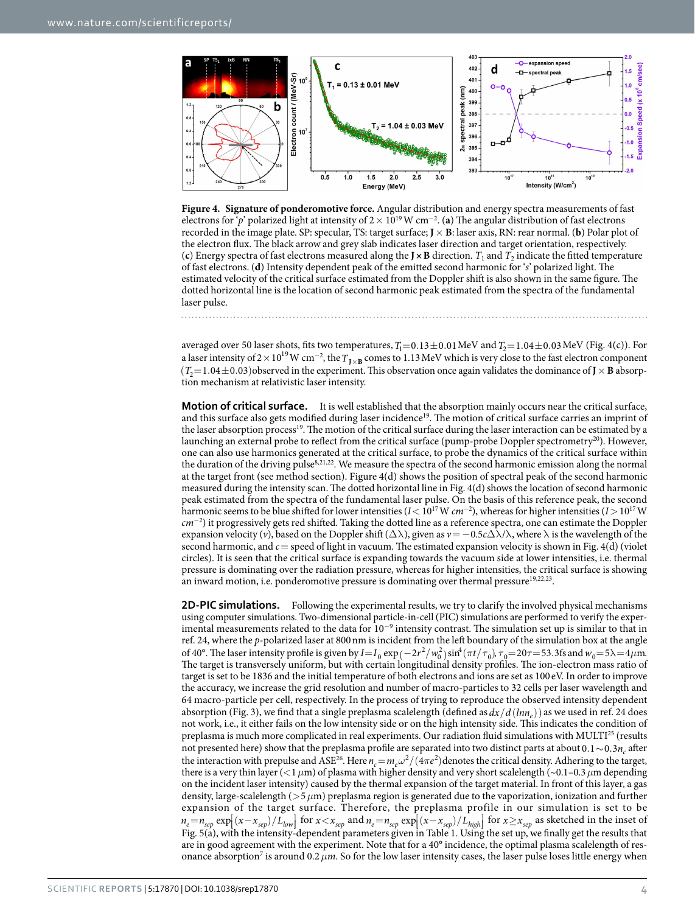

<span id="page-3-0"></span>**Figure 4. Signature of ponderomotive force.** Angular distribution and energy spectra measurements of fast electrons for '*p*' polarized light at intensity of  $2 \times 10^{19}$ W cm<sup>-2</sup>. (a) The angular distribution of fast electrons recorded in the image plate. SP: specular, TS: target surface; **J**× **B**: laser axis, RN: rear normal. (**b**) Polar plot of the electron flux. The black arrow and grey slab indicates laser direction and target orientation, respectively. (c) Energy spectra of fast electrons measured along the  $J \times B$  direction.  $T_1$  and  $T_2$  indicate the fitted temperature of fast electrons. (**d**) Intensity dependent peak of the emitted second harmonic for '*s*' polarized light. The estimated velocity of the critical surface estimated from the Doppler shift is also shown in the same figure. The dotted horizontal line is the location of second harmonic peak estimated from the spectra of the fundamental laser pulse.

averaged over 50 laser shots, fits two temperatures,  $T_1 = 0.13 \pm 0.01$  MeV and  $T_2 = 1.04 \pm 0.03$  MeV [\(Fig. 4\(c\)](#page-3-0)). For a laser intensity of 2 × 10<sup>19</sup>W cm<sup>-2</sup>, the  $T_{J\times B}$  comes to 1.13 MeV which is very close to the fast electron component  $(T_2 = 1.04 \pm 0.03)$  observed in the experiment. This observation once again validates the dominance of **J**  $\times$  **B** absorption mechanism at relativistic laser intensity.

**Motion of critical surface.** It is well established that the absorption mainly occurs near the critical surface, and this surface also gets modified during laser incidence<sup>19</sup>. The motion of critical surface carries an imprint of the laser absorption process[19.](#page-5-18) The motion of the critical surface during the laser interaction can be estimated by a launching an external probe to reflect from the critical surface (pump-probe Doppler spectrometry<sup>20</sup>). However, one can also use harmonics generated at the critical surface, to probe the dynamics of the critical surface within the duration of the driving pulse<sup>[8](#page-5-7),[21](#page-5-20),[22](#page-5-21)</sup>. We measure the spectra of the second harmonic emission along the normal at the target front (see method section). [Figure 4\(d\)](#page-3-0) shows the position of spectral peak of the second harmonic measured during the intensity scan. The dotted horizontal line in [Fig. 4\(d\)](#page-3-0) shows the location of second harmonic peak estimated from the spectra of the fundamental laser pulse. On the basis of this reference peak, the second harmonic seems to be blue shifted for lower intensities (*I*< 1017W *cm*<sup>−</sup><sup>2</sup> ), whereas for higher intensities (*I*> 1017W *cm*<sup>−</sup><sup>2</sup> ) it progressively gets red shifted. Taking the dotted line as a reference spectra, one can estimate the Doppler expansion velocity (*v*), based on the Doppler shift  $(\Delta \lambda)$ , given as  $v = -0.5c\Delta\lambda/\lambda$ , where  $\lambda$  is the wavelength of the second harmonic, and *c*= speed of light in vacuum. The estimated expansion velocity is shown in [Fig. 4\(d\)](#page-3-0) (violet circles). It is seen that the critical surface is expanding towards the vacuum side at lower intensities, i.e. thermal pressure is dominating over the radiation pressure, whereas for higher intensities, the critical surface is showing an inward motion, i.e. ponderomotive pressure is dominating over thermal pressure $19,22,23$  $19,22,23$  $19,22,23$  $19,22,23$  $19,22,23$ .

**2D-PIC simulations.** Following the experimental results, we try to clarify the involved physical mechanisms using computer simulations. Two-dimensional particle-in-cell (PIC) simulations are performed to verify the experimental measurements related to the data for 10<sup>-9</sup> intensity contrast. The simulation set up is similar to that in ref. [24,](#page-5-23) where the *p*-polarized laser at 800nm is incident from the left boundary of the simulation box at the angle of 40°. The laser intensity profile is given by  $I = I_0 \exp(-2r^2/w_0^2) \sin^4(\pi t/\tau_0) \tau_0 = 20\tau = 53.3$  fs and  $w_0 = 5\lambda = 4\mu m$ . The target is transversely uniform, but with certain longitudinal density profiles. The ion-electron mass ratio of target is set to be 1836 and the initial temperature of both electrons and ions are set as 100eV. In order to improve the accuracy, we increase the grid resolution and number of macro-particles to 32 cells per laser wavelength and 64 macro-particle per cell, respectively. In the process of trying to reproduce the observed intensity dependent absorption [\(Fig. 3](#page-2-1)), we find that a single preplasma scalelength (defined as  $dx/d$  ( $ln n_e$ )) as we used in ref. [24](#page-5-23) does not work, i.e., it either fails on the low intensity side or on the high intensity side. This indicates the condition of preplasma is much more complicated in real experiments. Our radiation fluid simulations with MULTI<sup>[25](#page-5-24)</sup> (results not presented here) show that the preplasma profile are separated into two distinct parts at about 0.1 ∼0.3*n<sub>c</sub>* after the interaction with prepulse and ASE<sup>26</sup>. Here  $n_c = m_e \omega^2/(4\pi e^2)$  denotes the critical density. Adhering to the target, there is a very thin layer (<1*μ*m) of plasma with higher density and very short scalelength (~0.1–0.3*μ*m depending on the incident laser intensity) caused by the thermal expansion of the target material. In front of this layer, a gas density, large-scalelength (>5*μ*m) preplasma region is generated due to the vaporization, ionization and further expansion of the target surface. Therefore, the preplasma profile in our simulation is set to be  $n_e = n_{sep} \exp[(x - x_{sep})/L_{low}]$  for  $x < x_{sep}$  and  $n_e = n_{sep} \exp[(x - x_{sep})/L_{high}]$  for  $x \ge x_{sep}$  as sketched in the inset of [Fig. 5\(a\)](#page-4-0), with the intensity-dependent parameters given in [Table 1.](#page-4-1) Using the set up, we finally get the results  $\overline{\phantom{a}}$ ļ are in good agreement with the experiment. Note that for a 40° incidence, the optimal plasma scalelength of res-onance absorption<sup>[7](#page-5-6)</sup> is around 0.2 μm. So for the low laser intensity cases, the laser pulse loses little energy when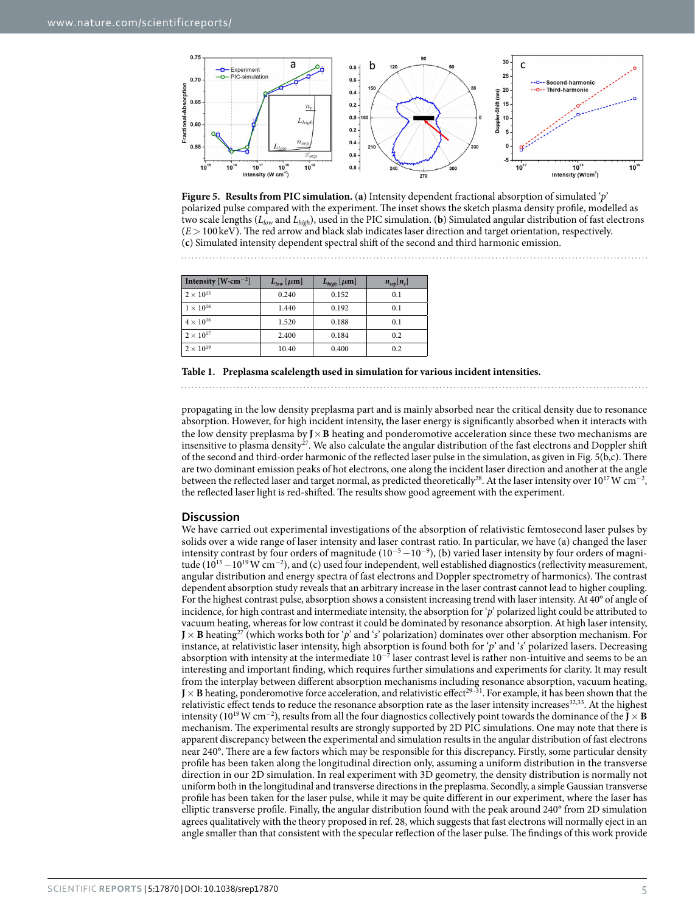

<span id="page-4-0"></span>

<span id="page-4-1"></span>

| Intensity $[Wcm^{-2}]$ | $L_{low}$ [ $\mu$ m] | $L_{high}$ [ $\mu$ m] | $n_{sep}[n_c]$ |
|------------------------|----------------------|-----------------------|----------------|
| $2\times10^{15}$       | 0.240                | 0.152                 | 0.1            |
| $1\times10^{16}$       | 1.440                | 0.192                 | 0.1            |
| $4\times10^{16}$       | 1.520                | 0.188                 | 0.1            |
| $2 \times 10^{17}$     | 2.400                | 0.184                 | 0.2            |
| $2\times10^{19}$       | 10.40                | 0.400                 | 0.2            |



propagating in the low density preplasma part and is mainly absorbed near the critical density due to resonance absorption. However, for high incident intensity, the laser energy is significantly absorbed when it interacts with the low density preplasma by  $J \times B$  heating and ponderomotive acceleration since these two mechanisms are insensitive to plasma density<sup>[27](#page-5-26)</sup>. We also calculate the angular distribution of the fast electrons and Doppler shift of the second and third-order harmonic of the reflected laser pulse in the simulation, as given in Fig.  $5(\overline{b},\overline{c})$ . There are two dominant emission peaks of hot electrons, one along the incident laser direction and another at the angle between the reflected laser and target normal, as predicted theoretically<sup>28</sup>. At the laser intensity over  $10^{17}$  W cm<sup>−2</sup>, the reflected laser light is red-shifted. The results show good agreement with the experiment.

### **Discussion**

We have carried out experimental investigations of the absorption of relativistic femtosecond laser pulses by solids over a wide range of laser intensity and laser contrast ratio. In particular, we have (a) changed the laser intensity contrast by four orders of magnitude  $(10^{-5} - 10^{-9})$ , (b) varied laser intensity by four orders of magnitude ( $10^{15}-10^{19}$  W cm<sup>-2</sup>), and (c) used four independent, well established diagnostics (reflectivity measurement, angular distribution and energy spectra of fast electrons and Doppler spectrometry of harmonics). The contrast dependent absorption study reveals that an arbitrary increase in the laser contrast cannot lead to higher coupling. For the highest contrast pulse, absorption shows a consistent increasing trend with laser intensity. At 40° of angle of incidence, for high contrast and intermediate intensity, the absorption for '*p*' polarized light could be attributed to vacuum heating, whereas for low contrast it could be dominated by resonance absorption. At high laser intensity,  $J \times B$  heating<sup>27</sup> (which works both for '*p*' and '*s*' polarization) dominates over other absorption mechanism. For instance, at relativistic laser intensity, high absorption is found both for '*p*' and '*s*' polarized lasers. Decreasing absorption with intensity at the intermediate  $10^{-7}$  laser contrast level is rather non-intuitive and seems to be an interesting and important finding, which requires further simulations and experiments for clarity. It may result from the interplay between different absorption mechanisms including resonance absorption, vacuum heating,  $J \times B$  heating, ponderomotive force acceleration, and relativistic effect<sup>29–31</sup>. For example, it has been shown that the relativistic effect tends to reduce the resonance absorption rate as the laser intensity increases<sup>[32,](#page-5-29)33</sup>. At the highest intensity (1019W cm<sup>−</sup><sup>2</sup> ), results from all the four diagnostics collectively point towards the dominance of the **J**× **B** mechanism. The experimental results are strongly supported by 2D PIC simulations. One may note that there is apparent discrepancy between the experimental and simulation results in the angular distribution of fast electrons near 240°. There are a few factors which may be responsible for this discrepancy. Firstly, some particular density profile has been taken along the longitudinal direction only, assuming a uniform distribution in the transverse direction in our 2D simulation. In real experiment with 3D geometry, the density distribution is normally not uniform both in the longitudinal and transverse directions in the preplasma. Secondly, a simple Gaussian transverse profile has been taken for the laser pulse, while it may be quite different in our experiment, where the laser has elliptic transverse profile. Finally, the angular distribution found with the peak around 240° from 2D simulation agrees qualitatively with the theory proposed in ref. [28](#page-5-27), which suggests that fast electrons will normally eject in an angle smaller than that consistent with the specular reflection of the laser pulse. The findings of this work provide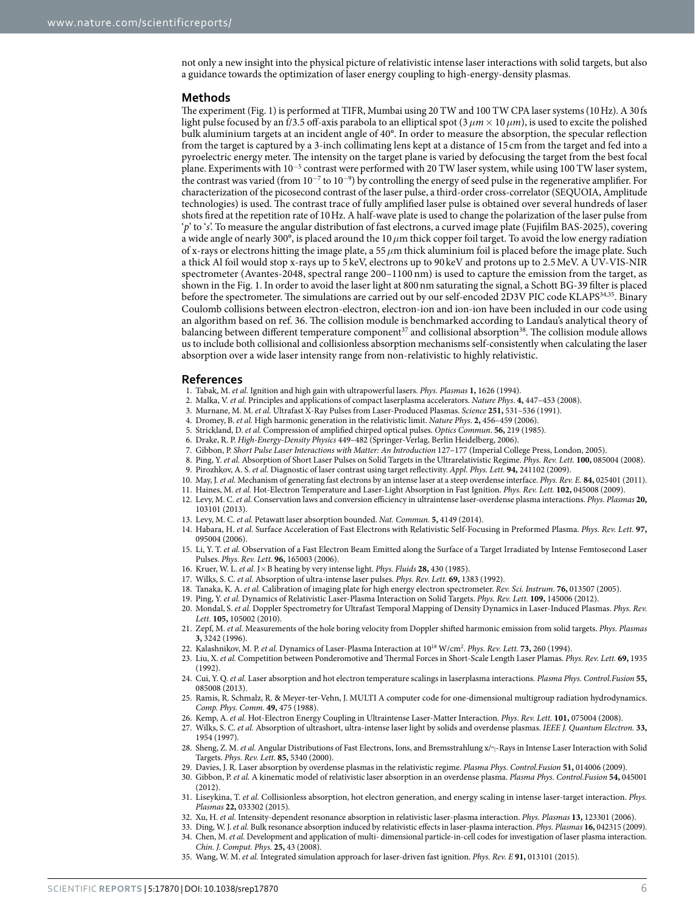not only a new insight into the physical picture of relativistic intense laser interactions with solid targets, but also a guidance towards the optimization of laser energy coupling to high-energy-density plasmas.

#### **Methods**

The experiment [\(Fig. 1\)](#page-1-0) is performed at TIFR, Mumbai using 20 TW and 100 TW CPA laser systems (10 Hz). A 30fs light pulse focused by an f/3.5 off-axis parabola to an elliptical spot (3*μm*× 10*μm*), is used to excite the polished bulk aluminium targets at an incident angle of 40°. In order to measure the absorption, the specular reflection from the target is captured by a 3-inch collimating lens kept at a distance of 15cm from the target and fed into a pyroelectric energy meter. The intensity on the target plane is varied by defocusing the target from the best focal plane. Experiments with 10<sup>-5</sup> contrast were performed with 20 TW laser system, while using 100 TW laser system, the contrast was varied (from  $10^{-7}$  to  $10^{-9}$ ) by controlling the energy of seed pulse in the regenerative amplifier. For characterization of the picosecond contrast of the laser pulse, a third-order cross-correlator (SEQUOIA, Amplitude technologies) is used. The contrast trace of fully amplified laser pulse is obtained over several hundreds of laser shots fired at the repetition rate of 10Hz. A half-wave plate is used to change the polarization of the laser pulse from '*p*' to '*s*'. To measure the angular distribution of fast electrons, a curved image plate (Fujifilm BAS-2025), covering a wide angle of nearly 300°, is placed around the 10*μ*m thick copper foil target. To avoid the low energy radiation of x-rays or electrons hitting the image plate, a 55*μ*m thick aluminium foil is placed before the image plate. Such a thick Al foil would stop x-rays up to 5 keV, electrons up to 90 keV and protons up to 2.5MeV. A UV-VIS-NIR spectrometer (Avantes-2048, spectral range 200–1100 nm) is used to capture the emission from the target, as shown in the [Fig. 1.](#page-1-0) In order to avoid the laser light at 800nm saturating the signal, a Schott BG-39 filter is placed before the spectrometer. The simulations are carried out by our self-encoded 2D3V PIC code KLAP[S34,](#page-5-31)[35.](#page-5-32) Binary Coulomb collisions between electron-electron, electron-ion and ion-ion have been included in our code using an algorithm based on ref. [36](#page-6-0). The collision module is benchmarked according to Landau's analytical theory of balancing between different temperature component<sup>37</sup> and collisional absorption<sup>38</sup>. The collision module allows us to include both collisional and collisionless absorption mechanisms self-consistently when calculating the laser absorption over a wide laser intensity range from non-relativistic to highly relativistic.

#### **References**

- <span id="page-5-0"></span>1. Tabak, M. *et al.* Ignition and high gain with ultrapowerful lasers. *Phys. Plasmas* **1,** 1626 (1994).
- <span id="page-5-1"></span>2. Malka, V. *et al.* Principles and applications of compact laserplasma accelerators. *Nature Phys*. **4,** 447–453 (2008).
- <span id="page-5-2"></span>3. Murnane, M. M. *et al.* Ultrafast X-Ray Pulses from Laser-Produced Plasmas. *Science* **251,** 531–536 (1991).
- <span id="page-5-3"></span>4. Dromey, B. *et al.* High harmonic generation in the relativistic limit. *Nature Phys*. **2,** 456–459 (2006).
- <span id="page-5-4"></span>5. Strickland, D. *et al.* Compression of amplified chirped optical pulses. *Optics Commun*. **56,** 219 (1985).
- <span id="page-5-5"></span>6. Drake, R. P. *High-Energy-Density Physics* 449–482 (Springer-Verlag, Berlin Heidelberg, 2006).
- <span id="page-5-6"></span>7. Gibbon, P. *Short Pulse Laser Interactions with Matter: An Introduction* 127–177 (Imperial College Press, London, 2005).
- <span id="page-5-7"></span>8. Ping, Y. *et al.* Absorption of Short Laser Pulses on Solid Targets in the Ultrarelativistic Regime. *Phys. Rev. Lett.* **100,** 085004 (2008).
- <span id="page-5-9"></span><span id="page-5-8"></span>9. Pirozhkov, A. S. *et al.* Diagnostic of laser contrast using target reflectivity. *Appl. Phys. Lett.* **94,** 241102 (2009).
- 10. May, J. *et al.* Mechanism of generating fast electrons by an intense laser at a steep overdense interface. *Phys. Rev. E.* **84,** 025401 (2011).
- <span id="page-5-10"></span>11. Haines, M. *et al.* Hot-Electron Temperature and Laser-Light Absorption in Fast Ignition. *Phys. Rev. Lett.* **102,** 045008 (2009).
- <span id="page-5-11"></span>12. Levy, M. C. *et al.* Conservation laws and conversion efficiency in ultraintense laser-overdense plasma interactions. *Phys. Plasmas* **20,** 103101 (2013).
- <span id="page-5-12"></span>13. Levy, M. C. *et al.* Petawatt laser absorption bounded. *Nat. Commun.* **5,** 4149 (2014).
- <span id="page-5-13"></span>14. Habara, H. *et al.* Surface Acceleration of Fast Electrons with Relativistic Self-Focusing in Preformed Plasma. *Phys. Rev. Lett.* **97,** 095004 (2006).
- <span id="page-5-14"></span>15. Li, Y. T. *et al.* Observation of a Fast Electron Beam Emitted along the Surface of a Target Irradiated by Intense Femtosecond Laser Pulses. *Phys. Rev. Lett.* **96,** 165003 (2006).
- <span id="page-5-16"></span><span id="page-5-15"></span>16. Kruer, W. L. *et al.* J×B heating by very intense light. *Phys. Fluids* **28,** 430 (1985).
- 17. Wilks, S. C. *et al.* Absorption of ultra-intense laser pulses. *Phys. Rev. Lett.* **69,** 1383 (1992).
- <span id="page-5-18"></span><span id="page-5-17"></span>18. Tanaka, K. A. *et al.* Calibration of imaging plate for high energy electron spectrometer. *Rev. Sci. Instrum*. **76,** 013507 (2005).
- 19. Ping, Y. *et al.* Dynamics of Relativistic Laser-Plasma Interaction on Solid Targets. *Phys. Rev. Lett.* **109,** 145006 (2012).
- <span id="page-5-19"></span>20. Mondal, S. *et al.* Doppler Spectrometry for Ultrafast Temporal Mapping of Density Dynamics in Laser-Induced Plasmas. *Phys. Rev. Lett.* **105,** 105002 (2010).
- <span id="page-5-20"></span>21. Zepf, M. *et al.* Measurements of the hole boring velocity from Doppler shifted harmonic emission from solid targets. *Phys. Plasmas* **3,** 3242 (1996).
- <span id="page-5-22"></span><span id="page-5-21"></span>22. Kalashnikov, M. P. *et al.* Dynamics of Laser-Plasma Interaction at 1018 W/cm2 . *Phys. Rev. Lett.* **73,** 260 (1994).
- 23. Liu, X. *et al.* Competition between Ponderomotive and Thermal Forces in Short-Scale Length Laser Plamas. *Phys. Rev. Lett.* **69,** 1935 (1992).
- <span id="page-5-23"></span>24. Cui, Y. Q. *et al.* Laser absorption and hot electron temperature scalings in laserplasma interactions. *Plasma Phys. Control.Fusion* **55,** 085008 (2013).
- <span id="page-5-24"></span>25. Ramis, R. Schmalz, R. & Meyer-ter-Vehn, J. MULTI A computer code for one-dimensional multigroup radiation hydrodynamics. *Comp. Phys. Comm*. **49,** 475 (1988).
- <span id="page-5-26"></span><span id="page-5-25"></span>26. Kemp, A. *et al.* Hot-Electron Energy Coupling in Ultraintense Laser-Matter Interaction. *Phys. Rev. Lett.* **101,** 075004 (2008).
- 27. Wilks, S. C. *et al.* Absorption of ultrashort, ultra-intense laser light by solids and overdense plasmas. *IEEE J. Quantum Electron.* **33,** 1954 (1997).
- <span id="page-5-27"></span>28. Sheng, Z. M. *et al.* Angular Distributions of Fast Electrons, Ions, and Bremsstrahlung x/γ-Rays in Intense Laser Interaction with Solid Targets. *Phys. Rev. Lett.* **85,** 5340 (2000).
- <span id="page-5-28"></span>29. Davies, J. R. Laser absorption by overdense plasmas in the relativistic regime. *Plasma Phys. Control.Fusion* **51,** 014006 (2009).
- 30. Gibbon, P. *et al.* A kinematic model of relativistic laser absorption in an overdense plasma. *Plasma Phys. Control.Fusion* **54,** 045001 (2012).
- 31. Liseykina, T. *et al.* Collisionless absorption, hot electron generation, and energy scaling in intense laser-target interaction. *Phys. Plasmas* **22,** 033302 (2015).
- <span id="page-5-30"></span><span id="page-5-29"></span>32. Xu, H. *et al.* Intensity-dependent resonance absorption in relativistic laser-plasma interaction. *Phys. Plasmas* **13,** 123301 (2006).
- 33. Ding, W. J. *et al.* Bulk resonance absorption induced by relativistic effects in laser-plasma interaction. *Phys. Plasmas* **16,** 042315 (2009).
- <span id="page-5-31"></span>34. Chen, M. *et al.* Development and application of multi- dimensional particle-in-cell codes for investigation of laser plasma interaction. *Chin. J. Comput. Phys.* **25,** 43 (2008).
- <span id="page-5-32"></span>35. Wang, W. M. *et al.* Integrated simulation approach for laser-driven fast ignition. *Phys. Rev. E* **91,** 013101 (2015).